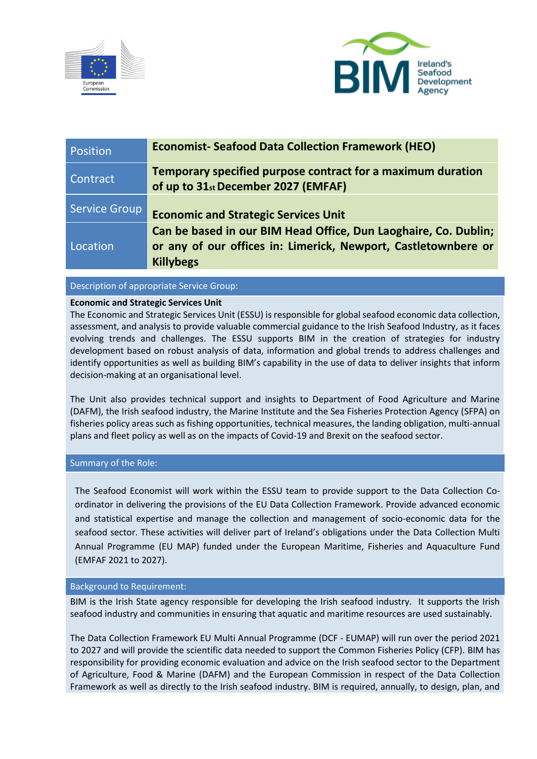



| Position      | <b>Economist-Seafood Data Collection Framework (HEO)</b>                                                                                              |
|---------------|-------------------------------------------------------------------------------------------------------------------------------------------------------|
| Contract      | Temporary specified purpose contract for a maximum duration<br>of up to 31st December 2027 (EMFAF)                                                    |
| Service Group | <b>Economic and Strategic Services Unit</b>                                                                                                           |
| Location      | Can be based in our BIM Head Office, Dun Laoghaire, Co. Dublin;<br>or any of our offices in: Limerick, Newport, Castletownbere or<br><b>Killybegs</b> |

# Description of appropriate Service Group:

## **Economic and Strategic Services Unit**

The Economic and Strategic Services Unit (ESSU) is responsible for global seafood economic data collection, assessment, and analysis to provide valuable commercial guidance to the Irish Seafood Industry, as it faces evolving trends and challenges. The ESSU supports BIM in the creation of strategies for industry development based on robust analysis of data, information and global trends to address challenges and identify opportunities as well as building BIM's capability in the use of data to deliver insights that inform decision-making at an organisational level.

The Unit also provides technical support and insights to Department of Food Agriculture and Marine (DAFM), the Irish seafood industry, the Marine Institute and the Sea Fisheries Protection Agency (SFPA) on fisheries policy areas such as fishing opportunities, technical measures, the landing obligation, multi-annual plans and fleet policy as well as on the impacts of Covid-19 and Brexit on the seafood sector.

#### Summary of the Role:

The Seafood Economist will work within the ESSU team to provide support to the Data Collection Coordinator in delivering the provisions of the EU Data Collection Framework. Provide advanced economic and statistical expertise and manage the collection and management of socio-economic data for the seafood sector. These activities will deliver part of Ireland's obligations under the Data Collection Multi Annual Programme (EU MAP) funded under the European Maritime, Fisheries and Aquaculture Fund (EMFAF 2021 to 2027).

## Background to Requirement:

BIM is the Irish State agency responsible for developing the Irish seafood industry. It supports the Irish seafood industry and communities in ensuring that aquatic and maritime resources are used sustainably.

The Data Collection Framework EU Multi Annual Programme (DCF - EUMAP) will run over the period 2021 to 2027 and will provide the scientific data needed to support the Common Fisheries Policy (CFP). BIM has responsibility for providing economic evaluation and advice on the Irish seafood sector to the Department of Agriculture, Food & Marine (DAFM) and the European Commission in respect of the Data Collection Framework as well as directly to the Irish seafood industry. BIM is required, annually, to design, plan, and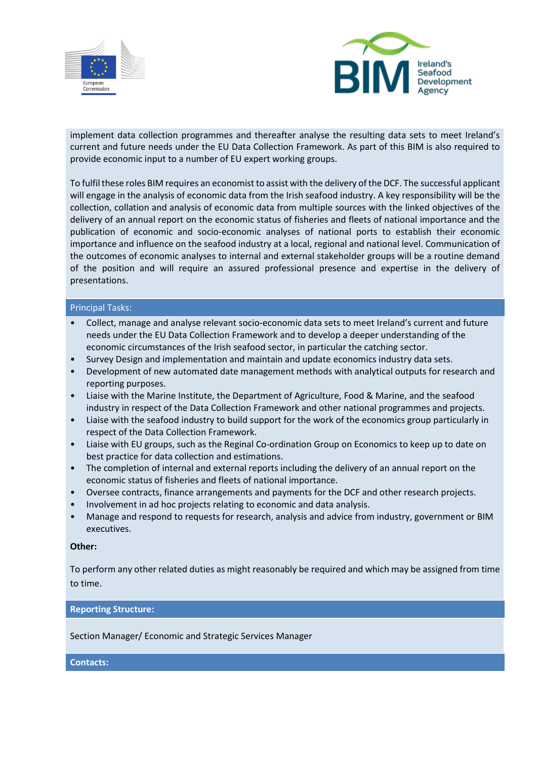



implement data collection programmes and thereafter analyse the resulting data sets to meet Ireland's current and future needs under the EU Data Collection Framework. As part of this BIM is also required to provide economic input to a number of EU expert working groups.

To fulfil these roles BIM requires an economist to assist with the delivery of the DCF. The successful applicant will engage in the analysis of economic data from the Irish seafood industry. A key responsibility will be the collection, collation and analysis of economic data from multiple sources with the linked objectives of the delivery of an annual report on the economic status of fisheries and fleets of national importance and the publication of economic and socio-economic analyses of national ports to establish their economic importance and influence on the seafood industry at a local, regional and national level. Communication of the outcomes of economic analyses to internal and external stakeholder groups will be a routine demand of the position and will require an assured professional presence and expertise in the delivery of presentations.

### Principal Tasks:

- Collect, manage and analyse relevant socio-economic data sets to meet Ireland's current and future needs under the EU Data Collection Framework and to develop a deeper understanding of the economic circumstances of the Irish seafood sector, in particular the catching sector.
- Survey Design and implementation and maintain and update economics industry data sets.
- Development of new automated date management methods with analytical outputs for research and reporting purposes.
- Liaise with the Marine Institute, the Department of Agriculture, Food & Marine, and the seafood industry in respect of the Data Collection Framework and other national programmes and projects.
- Liaise with the seafood industry to build support for the work of the economics group particularly in respect of the Data Collection Framework.
- Liaise with EU groups, such as the Reginal Co-ordination Group on Economics to keep up to date on best practice for data collection and estimations.
- The completion of internal and external reports including the delivery of an annual report on the economic status of fisheries and fleets of national importance.
- Oversee contracts, finance arrangements and payments for the DCF and other research projects.
- Involvement in ad hoc projects relating to economic and data analysis.
- Manage and respond to requests for research, analysis and advice from industry, government or BIM executives.

#### **Other:**

To perform any other related duties as might reasonably be required and which may be assigned from time to time.

## **Reporting Structure:**

Section Manager/ Economic and Strategic Services Manager

**Contacts:**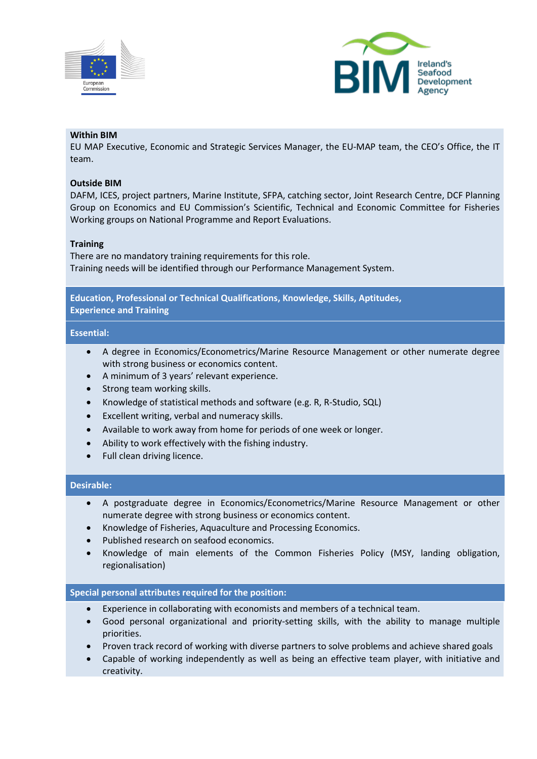



# **Within BIM**

EU MAP Executive, Economic and Strategic Services Manager, the EU-MAP team, the CEO's Office, the IT team.

### **Outside BIM**

DAFM, ICES, project partners, Marine Institute, SFPA, catching sector, Joint Research Centre, DCF Planning Group on Economics and EU Commission's Scientific, Technical and Economic Committee for Fisheries Working groups on National Programme and Report Evaluations.

### **Training**

There are no mandatory training requirements for this role. Training needs will be identified through our Performance Management System.

**Education, Professional or Technical Qualifications, Knowledge, Skills, Aptitudes, Experience and Training**

### **Essential:**

- A degree in Economics/Econometrics/Marine Resource Management or other numerate degree with strong business or economics content.
- A minimum of 3 years' relevant experience.
- Strong team working skills.
- Knowledge of statistical methods and software (e.g. R, R-Studio, SQL)
- Excellent writing, verbal and numeracy skills.
- Available to work away from home for periods of one week or longer.
- Ability to work effectively with the fishing industry.
- Full clean driving licence.

## **Desirable:**

- A postgraduate degree in Economics/Econometrics/Marine Resource Management or other numerate degree with strong business or economics content.
- Knowledge of Fisheries, Aquaculture and Processing Economics.
- Published research on seafood economics.
- Knowledge of main elements of the Common Fisheries Policy (MSY, landing obligation, regionalisation)

## **Special personal attributes required for the position:**

- Experience in collaborating with economists and members of a technical team.
- Good personal organizational and priority-setting skills, with the ability to manage multiple priorities.
- Proven track record of working with diverse partners to solve problems and achieve shared goals
- Capable of working independently as well as being an effective team player, with initiative and creativity.